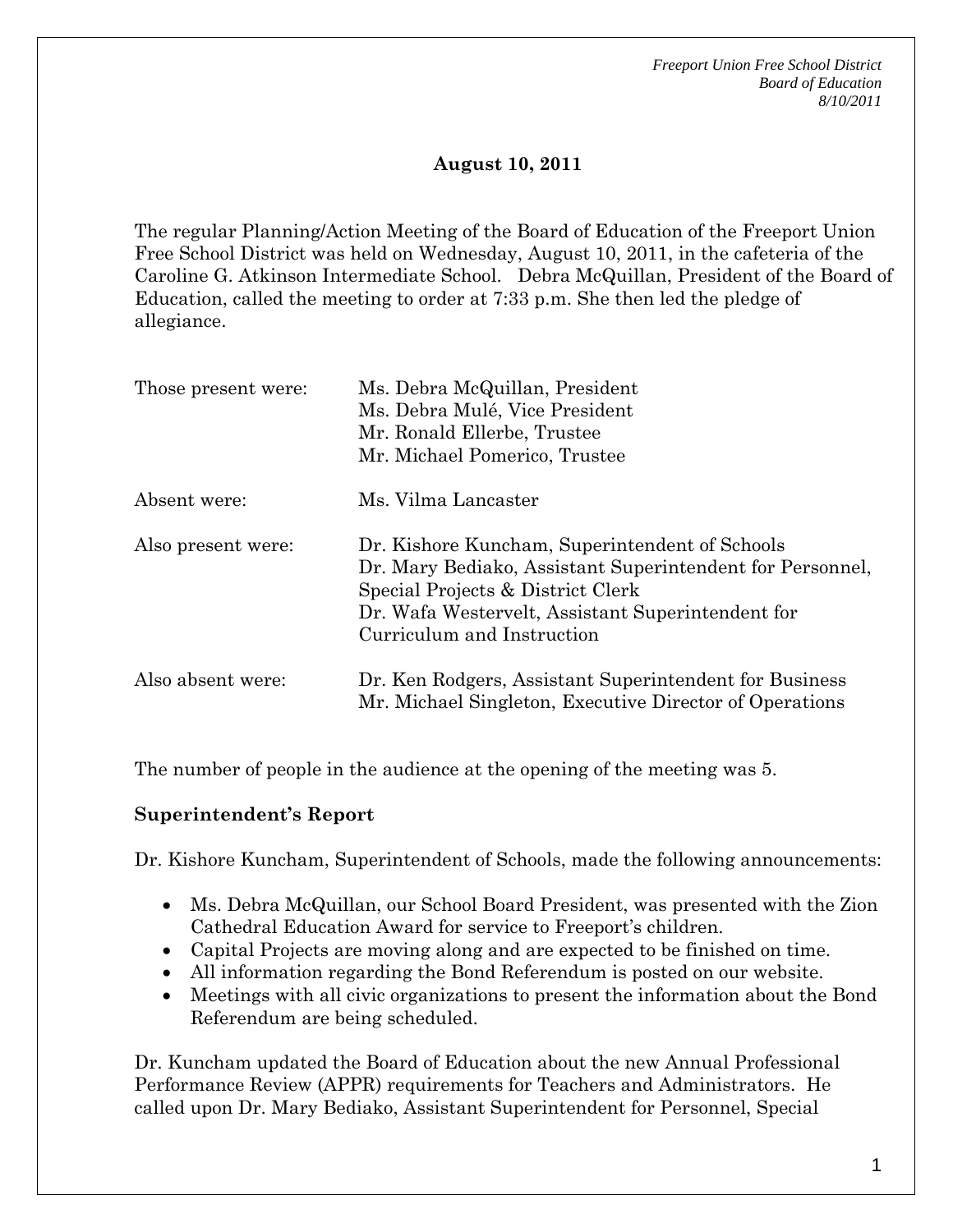## **August 10, 2011**

The regular Planning/Action Meeting of the Board of Education of the Freeport Union Free School District was held on Wednesday, August 10, 2011, in the cafeteria of the Caroline G. Atkinson Intermediate School. Debra McQuillan, President of the Board of Education, called the meeting to order at 7:33 p.m. She then led the pledge of allegiance.

| Those present were: | Ms. Debra McQuillan, President<br>Ms. Debra Mulé, Vice President<br>Mr. Ronald Ellerbe, Trustee<br>Mr. Michael Pomerico, Trustee                                                                                                    |
|---------------------|-------------------------------------------------------------------------------------------------------------------------------------------------------------------------------------------------------------------------------------|
| Absent were:        | Ms. Vilma Lancaster                                                                                                                                                                                                                 |
| Also present were:  | Dr. Kishore Kuncham, Superintendent of Schools<br>Dr. Mary Bediako, Assistant Superintendent for Personnel,<br>Special Projects & District Clerk<br>Dr. Wafa Westervelt, Assistant Superintendent for<br>Curriculum and Instruction |
| Also absent were:   | Dr. Ken Rodgers, Assistant Superintendent for Business<br>Mr. Michael Singleton, Executive Director of Operations                                                                                                                   |

The number of people in the audience at the opening of the meeting was 5.

### **Superintendent's Report**

Dr. Kishore Kuncham, Superintendent of Schools, made the following announcements:

- Ms. Debra McQuillan, our School Board President, was presented with the Zion Cathedral Education Award for service to Freeport's children.
- Capital Projects are moving along and are expected to be finished on time.
- All information regarding the Bond Referendum is posted on our website.
- Meetings with all civic organizations to present the information about the Bond Referendum are being scheduled.

Dr. Kuncham updated the Board of Education about the new Annual Professional Performance Review (APPR) requirements for Teachers and Administrators. He called upon Dr. Mary Bediako, Assistant Superintendent for Personnel, Special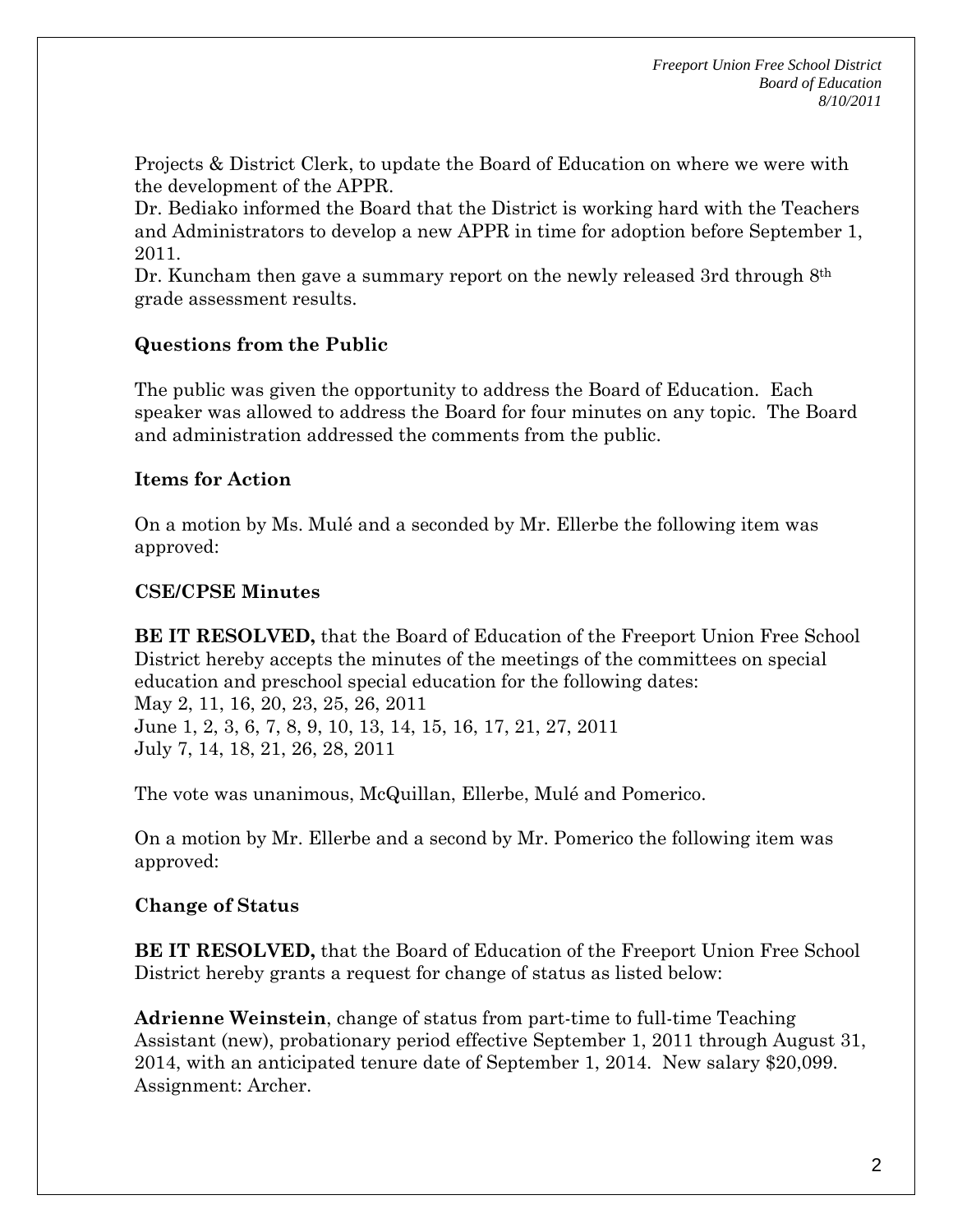Projects & District Clerk, to update the Board of Education on where we were with the development of the APPR.

Dr. Bediako informed the Board that the District is working hard with the Teachers and Administrators to develop a new APPR in time for adoption before September 1, 2011.

Dr. Kuncham then gave a summary report on the newly released 3rd through 8th grade assessment results.

## **Questions from the Public**

The public was given the opportunity to address the Board of Education. Each speaker was allowed to address the Board for four minutes on any topic. The Board and administration addressed the comments from the public.

## **Items for Action**

On a motion by Ms. Mulé and a seconded by Mr. Ellerbe the following item was approved:

## **CSE/CPSE Minutes**

**BE IT RESOLVED,** that the Board of Education of the Freeport Union Free School District hereby accepts the minutes of the meetings of the committees on special education and preschool special education for the following dates: May 2, 11, 16, 20, 23, 25, 26, 2011 June 1, 2, 3, 6, 7, 8, 9, 10, 13, 14, 15, 16, 17, 21, 27, 2011 July 7, 14, 18, 21, 26, 28, 2011

The vote was unanimous, McQuillan, Ellerbe, Mulé and Pomerico.

On a motion by Mr. Ellerbe and a second by Mr. Pomerico the following item was approved:

# **Change of Status**

**BE IT RESOLVED,** that the Board of Education of the Freeport Union Free School District hereby grants a request for change of status as listed below:

**Adrienne Weinstein**, change of status from part-time to full-time Teaching Assistant (new), probationary period effective September 1, 2011 through August 31, 2014, with an anticipated tenure date of September 1, 2014. New salary \$20,099. Assignment: Archer.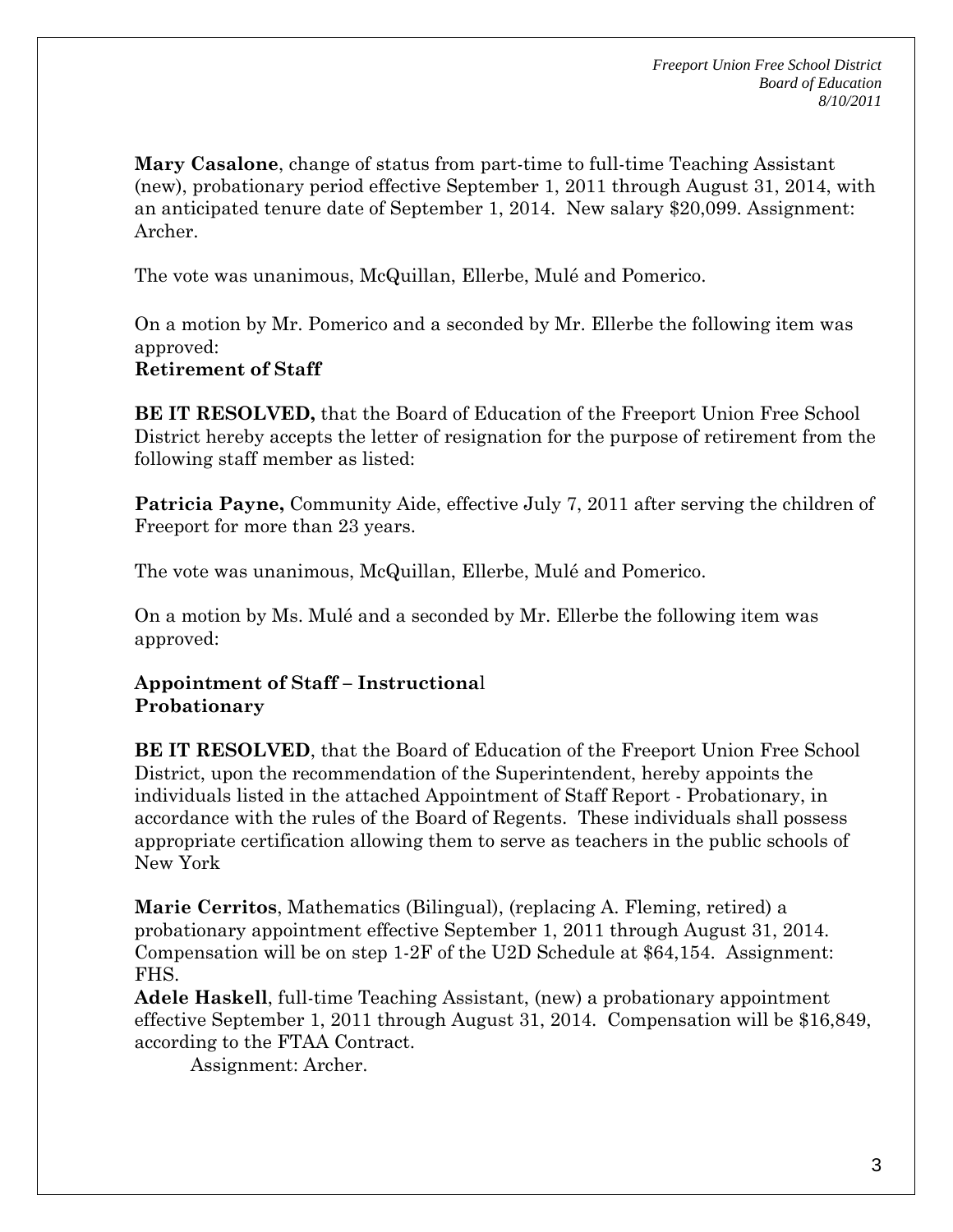**Mary Casalone**, change of status from part-time to full-time Teaching Assistant (new), probationary period effective September 1, 2011 through August 31, 2014, with an anticipated tenure date of September 1, 2014. New salary \$20,099. Assignment: Archer.

The vote was unanimous, McQuillan, Ellerbe, Mulé and Pomerico.

On a motion by Mr. Pomerico and a seconded by Mr. Ellerbe the following item was approved:

#### **Retirement of Staff**

**BE IT RESOLVED,** that the Board of Education of the Freeport Union Free School District hereby accepts the letter of resignation for the purpose of retirement from the following staff member as listed:

**Patricia Payne,** Community Aide, effective July 7, 2011 after serving the children of Freeport for more than 23 years.

The vote was unanimous, McQuillan, Ellerbe, Mulé and Pomerico.

On a motion by Ms. Mulé and a seconded by Mr. Ellerbe the following item was approved:

### **Appointment of Staff – Instructiona**l **Probationary**

**BE IT RESOLVED**, that the Board of Education of the Freeport Union Free School District, upon the recommendation of the Superintendent, hereby appoints the individuals listed in the attached Appointment of Staff Report - Probationary, in accordance with the rules of the Board of Regents. These individuals shall possess appropriate certification allowing them to serve as teachers in the public schools of New York

**Marie Cerritos**, Mathematics (Bilingual), (replacing A. Fleming, retired) a probationary appointment effective September 1, 2011 through August 31, 2014. Compensation will be on step 1-2F of the U2D Schedule at \$64,154. Assignment: FHS.

**Adele Haskell**, full-time Teaching Assistant, (new) a probationary appointment effective September 1, 2011 through August 31, 2014. Compensation will be \$16,849, according to the FTAA Contract.

Assignment: Archer.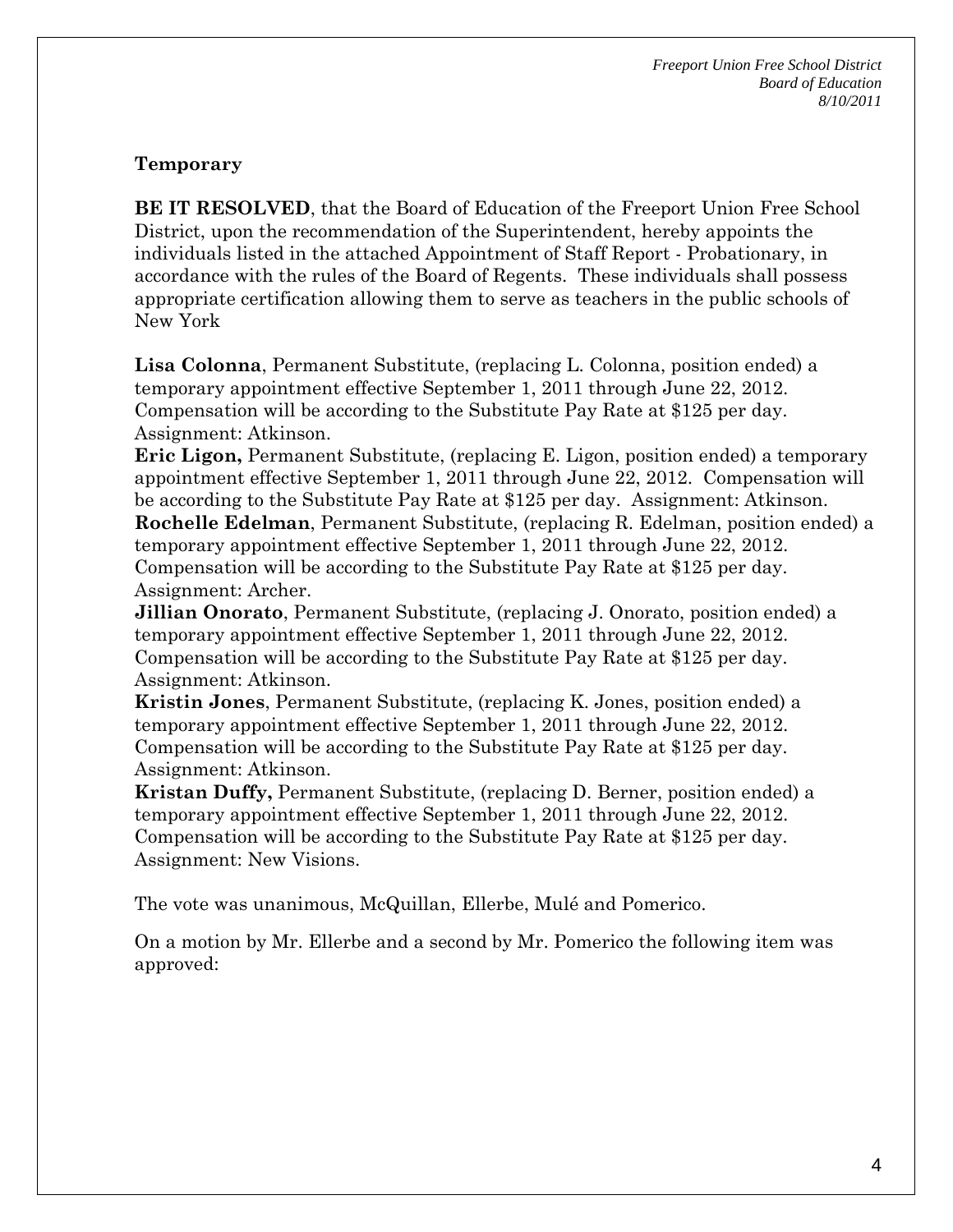#### **Temporary**

**BE IT RESOLVED**, that the Board of Education of the Freeport Union Free School District, upon the recommendation of the Superintendent, hereby appoints the individuals listed in the attached Appointment of Staff Report - Probationary, in accordance with the rules of the Board of Regents. These individuals shall possess appropriate certification allowing them to serve as teachers in the public schools of New York

**Lisa Colonna**, Permanent Substitute, (replacing L. Colonna, position ended) a temporary appointment effective September 1, 2011 through June 22, 2012. Compensation will be according to the Substitute Pay Rate at \$125 per day. Assignment: Atkinson.

**Eric Ligon,** Permanent Substitute, (replacing E. Ligon, position ended) a temporary appointment effective September 1, 2011 through June 22, 2012. Compensation will be according to the Substitute Pay Rate at \$125 per day. Assignment: Atkinson. **Rochelle Edelman**, Permanent Substitute, (replacing R. Edelman, position ended) a temporary appointment effective September 1, 2011 through June 22, 2012. Compensation will be according to the Substitute Pay Rate at \$125 per day. Assignment: Archer.

**Jillian Onorato**, Permanent Substitute, (replacing J. Onorato, position ended) a temporary appointment effective September 1, 2011 through June 22, 2012. Compensation will be according to the Substitute Pay Rate at \$125 per day. Assignment: Atkinson.

**Kristin Jones**, Permanent Substitute, (replacing K. Jones, position ended) a temporary appointment effective September 1, 2011 through June 22, 2012. Compensation will be according to the Substitute Pay Rate at \$125 per day. Assignment: Atkinson.

**Kristan Duffy,** Permanent Substitute, (replacing D. Berner, position ended) a temporary appointment effective September 1, 2011 through June 22, 2012. Compensation will be according to the Substitute Pay Rate at \$125 per day. Assignment: New Visions.

The vote was unanimous, McQuillan, Ellerbe, Mulé and Pomerico.

On a motion by Mr. Ellerbe and a second by Mr. Pomerico the following item was approved: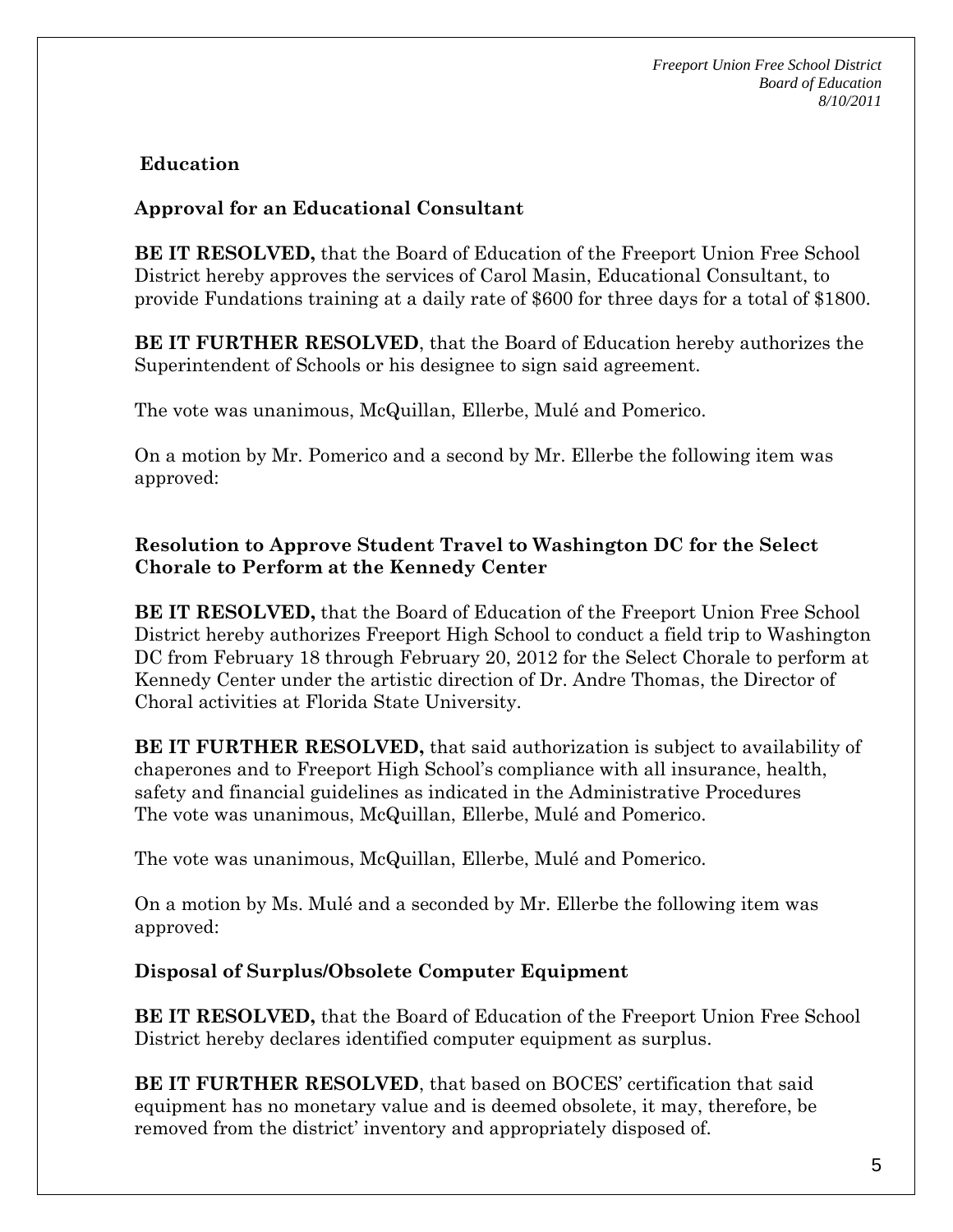## **Education**

### **Approval for an Educational Consultant**

**BE IT RESOLVED,** that the Board of Education of the Freeport Union Free School District hereby approves the services of Carol Masin, Educational Consultant, to provide Fundations training at a daily rate of \$600 for three days for a total of \$1800.

**BE IT FURTHER RESOLVED**, that the Board of Education hereby authorizes the Superintendent of Schools or his designee to sign said agreement.

The vote was unanimous, McQuillan, Ellerbe, Mulé and Pomerico.

On a motion by Mr. Pomerico and a second by Mr. Ellerbe the following item was approved:

### **Resolution to Approve Student Travel to Washington DC for the Select Chorale to Perform at the Kennedy Center**

**BE IT RESOLVED,** that the Board of Education of the Freeport Union Free School District hereby authorizes Freeport High School to conduct a field trip to Washington DC from February 18 through February 20, 2012 for the Select Chorale to perform at Kennedy Center under the artistic direction of Dr. Andre Thomas, the Director of Choral activities at Florida State University.

**BE IT FURTHER RESOLVED,** that said authorization is subject to availability of chaperones and to Freeport High School's compliance with all insurance, health, safety and financial guidelines as indicated in the Administrative Procedures The vote was unanimous, McQuillan, Ellerbe, Mulé and Pomerico.

The vote was unanimous, McQuillan, Ellerbe, Mulé and Pomerico.

On a motion by Ms. Mulé and a seconded by Mr. Ellerbe the following item was approved:

### **Disposal of Surplus/Obsolete Computer Equipment**

**BE IT RESOLVED,** that the Board of Education of the Freeport Union Free School District hereby declares identified computer equipment as surplus.

**BE IT FURTHER RESOLVED**, that based on BOCES' certification that said equipment has no monetary value and is deemed obsolete, it may, therefore, be removed from the district' inventory and appropriately disposed of.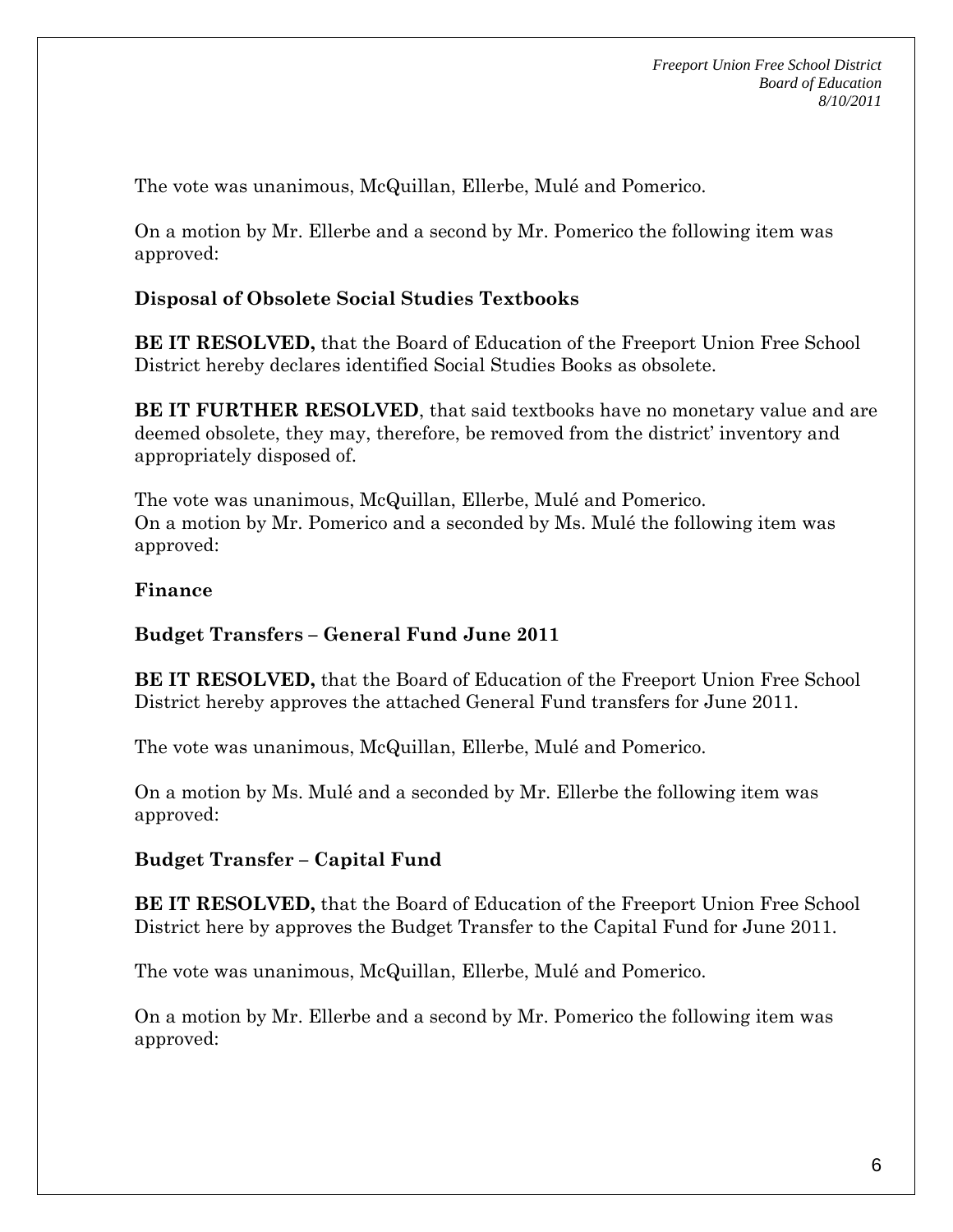The vote was unanimous, McQuillan, Ellerbe, Mulé and Pomerico.

On a motion by Mr. Ellerbe and a second by Mr. Pomerico the following item was approved:

## **Disposal of Obsolete Social Studies Textbooks**

**BE IT RESOLVED,** that the Board of Education of the Freeport Union Free School District hereby declares identified Social Studies Books as obsolete.

**BE IT FURTHER RESOLVED**, that said textbooks have no monetary value and are deemed obsolete, they may, therefore, be removed from the district' inventory and appropriately disposed of.

The vote was unanimous, McQuillan, Ellerbe, Mulé and Pomerico. On a motion by Mr. Pomerico and a seconded by Ms. Mulé the following item was approved:

### **Finance**

### **Budget Transfers – General Fund June 2011**

**BE IT RESOLVED,** that the Board of Education of the Freeport Union Free School District hereby approves the attached General Fund transfers for June 2011.

The vote was unanimous, McQuillan, Ellerbe, Mulé and Pomerico.

On a motion by Ms. Mulé and a seconded by Mr. Ellerbe the following item was approved:

### **Budget Transfer – Capital Fund**

**BE IT RESOLVED,** that the Board of Education of the Freeport Union Free School District here by approves the Budget Transfer to the Capital Fund for June 2011.

The vote was unanimous, McQuillan, Ellerbe, Mulé and Pomerico.

On a motion by Mr. Ellerbe and a second by Mr. Pomerico the following item was approved: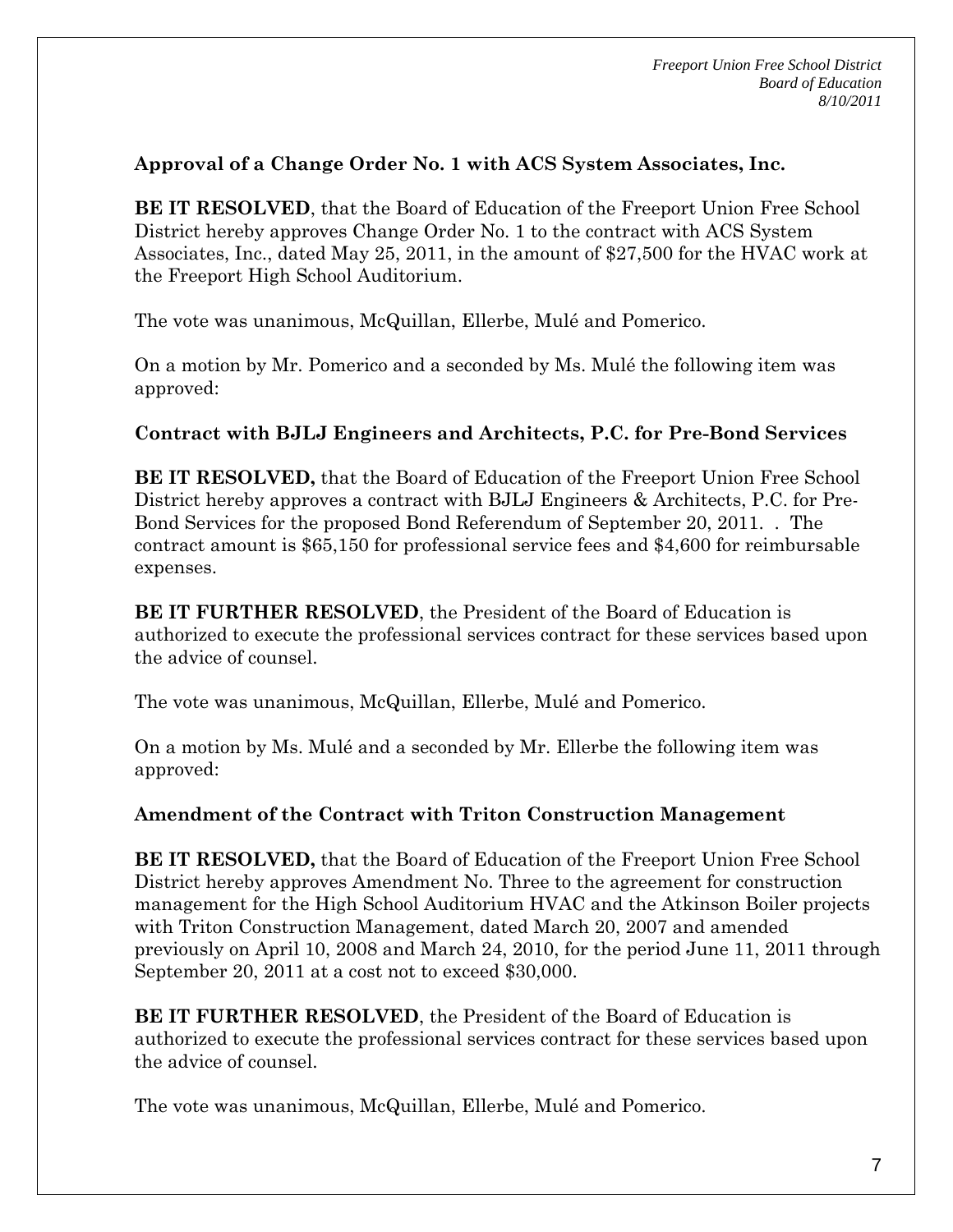## **Approval of a Change Order No. 1 with ACS System Associates, Inc.**

**BE IT RESOLVED**, that the Board of Education of the Freeport Union Free School District hereby approves Change Order No. 1 to the contract with ACS System Associates, Inc., dated May 25, 2011, in the amount of \$27,500 for the HVAC work at the Freeport High School Auditorium.

The vote was unanimous, McQuillan, Ellerbe, Mulé and Pomerico.

On a motion by Mr. Pomerico and a seconded by Ms. Mulé the following item was approved:

### **Contract with BJLJ Engineers and Architects, P.C. for Pre-Bond Services**

**BE IT RESOLVED,** that the Board of Education of the Freeport Union Free School District hereby approves a contract with BJLJ Engineers & Architects, P.C. for Pre-Bond Services for the proposed Bond Referendum of September 20, 2011. . The contract amount is \$65,150 for professional service fees and \$4,600 for reimbursable expenses.

**BE IT FURTHER RESOLVED**, the President of the Board of Education is authorized to execute the professional services contract for these services based upon the advice of counsel.

The vote was unanimous, McQuillan, Ellerbe, Mulé and Pomerico.

On a motion by Ms. Mulé and a seconded by Mr. Ellerbe the following item was approved:

### **Amendment of the Contract with Triton Construction Management**

**BE IT RESOLVED,** that the Board of Education of the Freeport Union Free School District hereby approves Amendment No. Three to the agreement for construction management for the High School Auditorium HVAC and the Atkinson Boiler projects with Triton Construction Management, dated March 20, 2007 and amended previously on April 10, 2008 and March 24, 2010, for the period June 11, 2011 through September 20, 2011 at a cost not to exceed \$30,000.

**BE IT FURTHER RESOLVED**, the President of the Board of Education is authorized to execute the professional services contract for these services based upon the advice of counsel.

The vote was unanimous, McQuillan, Ellerbe, Mulé and Pomerico.